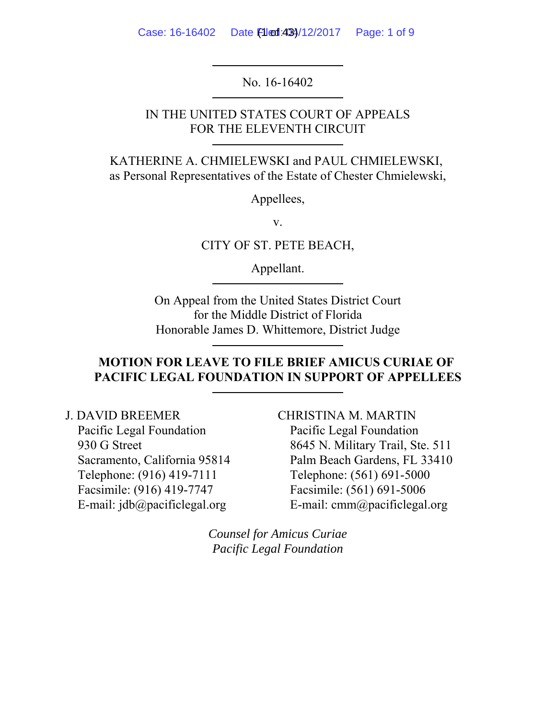Case: 16-16402 Date Filed: 433/12/2017 Page: 1 of 9

No. 16-16402

IN THE UNITED STATES COURT OF APPEALS FOR THE ELEVENTH CIRCUIT

KATHERINE A. CHMIELEWSKI and PAUL CHMIELEWSKI, as Personal Representatives of the Estate of Chester Chmielewski,

Appellees,

v.

CITY OF ST. PETE BEACH,

Appellant.

On Appeal from the United States District Court for the Middle District of Florida Honorable James D. Whittemore, District Judge

## **MOTION FOR LEAVE TO FILE BRIEF AMICUS CURIAE OF PACIFIC LEGAL FOUNDATION IN SUPPORT OF APPELLEES**

J. DAVID BREEMER

Pacific Legal Foundation 930 G Street Sacramento, California 95814 Telephone: (916) 419-7111 Facsimile: (916) 419-7747 E-mail:  $idb@pacifiedegal.org$ 

CHRISTINA M. MARTIN Pacific Legal Foundation 8645 N. Military Trail, Ste. 511 Palm Beach Gardens, FL 33410 Telephone: (561) 691-5000 Facsimile: (561) 691-5006 E-mail: cmm@pacificlegal.org

*Counsel for Amicus Curiae Pacific Legal Foundation*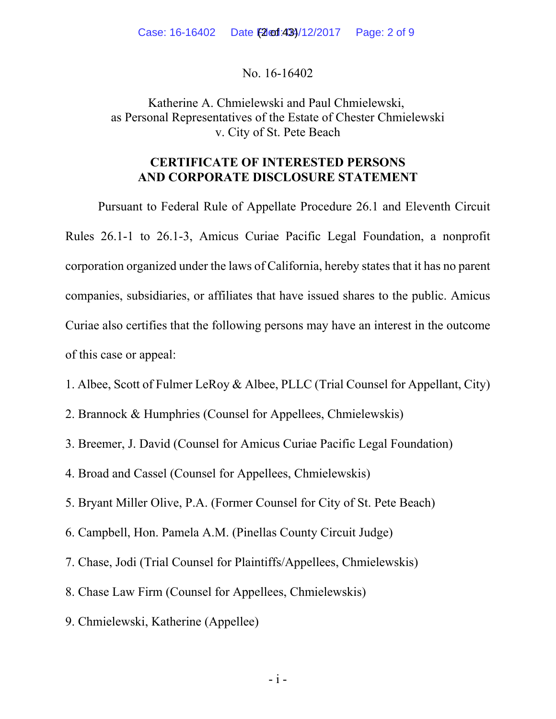No. 16-16402

Katherine A. Chmielewski and Paul Chmielewski, as Personal Representatives of the Estate of Chester Chmielewski v. City of St. Pete Beach

### **CERTIFICATE OF INTERESTED PERSONS AND CORPORATE DISCLOSURE STATEMENT**

Pursuant to Federal Rule of Appellate Procedure 26.1 and Eleventh Circuit Rules 26.1-1 to 26.1-3, Amicus Curiae Pacific Legal Foundation, a nonprofit corporation organized under the laws of California, hereby states that it has no parent companies, subsidiaries, or affiliates that have issued shares to the public. Amicus Curiae also certifies that the following persons may have an interest in the outcome of this case or appeal:

- 1. Albee, Scott of Fulmer LeRoy & Albee, PLLC (Trial Counsel for Appellant, City)
- 2. Brannock & Humphries (Counsel for Appellees, Chmielewskis)
- 3. Breemer, J. David (Counsel for Amicus Curiae Pacific Legal Foundation)
- 4. Broad and Cassel (Counsel for Appellees, Chmielewskis)
- 5. Bryant Miller Olive, P.A. (Former Counsel for City of St. Pete Beach)
- 6. Campbell, Hon. Pamela A.M. (Pinellas County Circuit Judge)
- 7. Chase, Jodi (Trial Counsel for Plaintiffs/Appellees, Chmielewskis)
- 8. Chase Law Firm (Counsel for Appellees, Chmielewskis)
- 9. Chmielewski, Katherine (Appellee)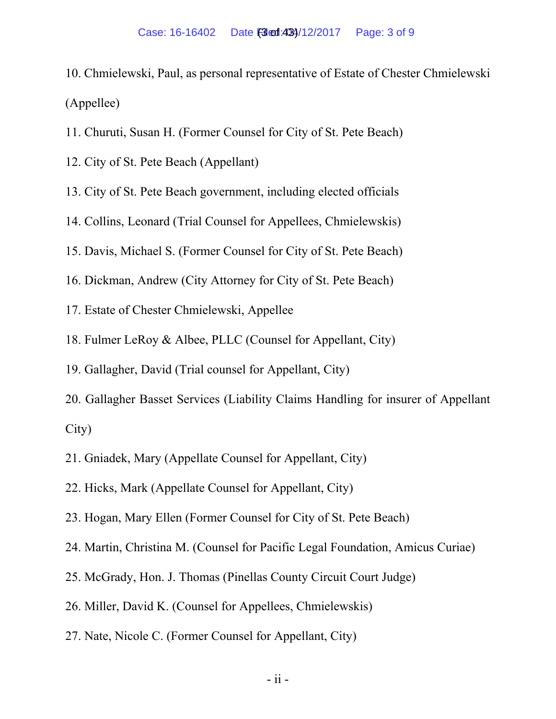- 10. Chmielewski, Paul, as personal representative of Estate of Chester Chmielewski (Appellee)
- 11. Churuti, Susan H. (Former Counsel for City of St. Pete Beach)
- 12. City of St. Pete Beach (Appellant)
- 13. City of St. Pete Beach government, including elected officials
- 14. Collins, Leonard (Trial Counsel for Appellees, Chmielewskis)
- 15. Davis, Michael S. (Former Counsel for City of St. Pete Beach)
- 16. Dickman, Andrew (City Attorney for City of St. Pete Beach)
- 17. Estate of Chester Chmielewski, Appellee
- 18. Fulmer LeRoy & Albee, PLLC (Counsel for Appellant, City)
- 19. Gallagher, David (Trial counsel for Appellant, City)
- 20. Gallagher Basset Services (Liability Claims Handling for insurer of Appellant City)
- 21. Gniadek, Mary (Appellate Counsel for Appellant, City)
- 22. Hicks, Mark (Appellate Counsel for Appellant, City)
- 23. Hogan, Mary Ellen (Former Counsel for City of St. Pete Beach)
- 24. Martin, Christina M. (Counsel for Pacific Legal Foundation, Amicus Curiae)
- 25. McGrady, Hon. J. Thomas (Pinellas County Circuit Court Judge)
- 26. Miller, David K. (Counsel for Appellees, Chmielewskis)
- 27. Nate, Nicole C. (Former Counsel for Appellant, City)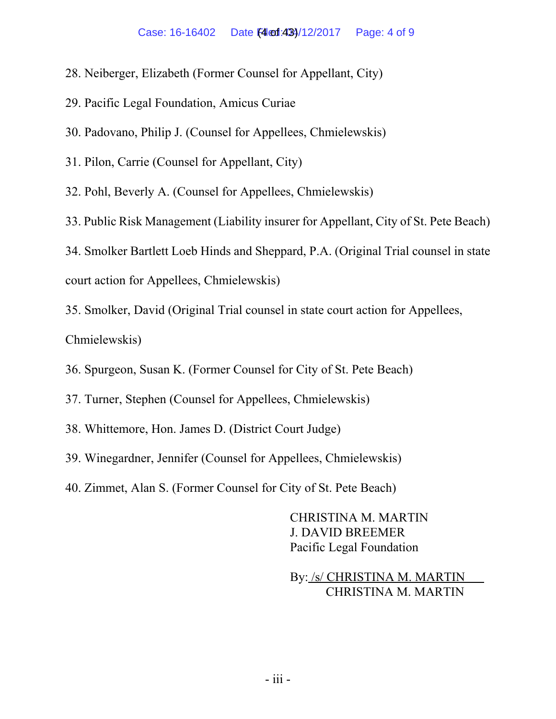- 28. Neiberger, Elizabeth (Former Counsel for Appellant, City)
- 29. Pacific Legal Foundation, Amicus Curiae
- 30. Padovano, Philip J. (Counsel for Appellees, Chmielewskis)
- 31. Pilon, Carrie (Counsel for Appellant, City)

32. Pohl, Beverly A. (Counsel for Appellees, Chmielewskis)

33. Public Risk Management (Liability insurer for Appellant, City of St. Pete Beach)

34. Smolker Bartlett Loeb Hinds and Sheppard, P.A. (Original Trial counsel in state court action for Appellees, Chmielewskis)

35. Smolker, David (Original Trial counsel in state court action for Appellees,

Chmielewskis)

- 36. Spurgeon, Susan K. (Former Counsel for City of St. Pete Beach)
- 37. Turner, Stephen (Counsel for Appellees, Chmielewskis)
- 38. Whittemore, Hon. James D. (District Court Judge)
- 39. Winegardner, Jennifer (Counsel for Appellees, Chmielewskis)
- 40. Zimmet, Alan S. (Former Counsel for City of St. Pete Beach)

CHRISTINA M. MARTIN J. DAVID BREEMER Pacific Legal Foundation

By: /s/ CHRISTINA M. MARTIN CHRISTINA M. MARTIN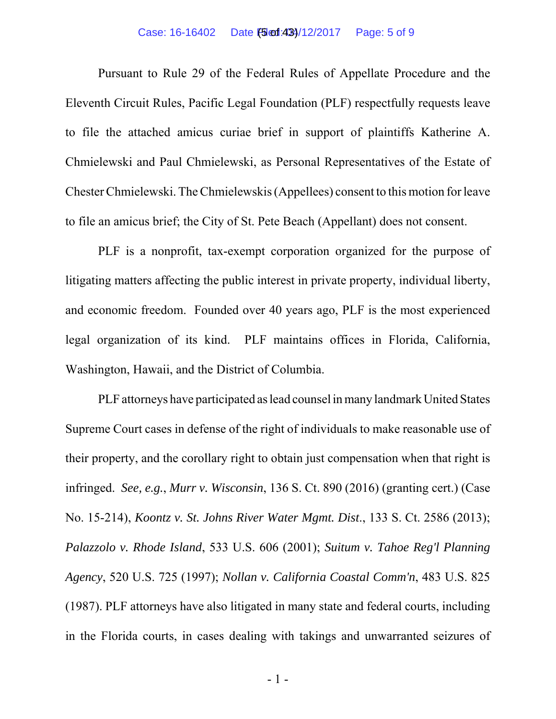Pursuant to Rule 29 of the Federal Rules of Appellate Procedure and the Eleventh Circuit Rules, Pacific Legal Foundation (PLF) respectfully requests leave to file the attached amicus curiae brief in support of plaintiffs Katherine A. Chmielewski and Paul Chmielewski, as Personal Representatives of the Estate of Chester Chmielewski. The Chmielewskis (Appellees) consent to this motion for leave to file an amicus brief; the City of St. Pete Beach (Appellant) does not consent.

PLF is a nonprofit, tax-exempt corporation organized for the purpose of litigating matters affecting the public interest in private property, individual liberty, and economic freedom. Founded over 40 years ago, PLF is the most experienced legal organization of its kind. PLF maintains offices in Florida, California, Washington, Hawaii, and the District of Columbia.

PLF attorneys have participated as lead counsel in many landmark United States Supreme Court cases in defense of the right of individuals to make reasonable use of their property, and the corollary right to obtain just compensation when that right is infringed. *See, e.g.*, *Murr v. Wisconsin*, 136 S. Ct. 890 (2016) (granting cert.) (Case No. 15-214), *Koontz v. St. Johns River Water Mgmt. Dist*., 133 S. Ct. 2586 (2013); *Palazzolo v. Rhode Island*, 533 U.S. 606 (2001); *Suitum v. Tahoe Reg'l Planning Agency*, 520 U.S. 725 (1997); *Nollan v. California Coastal Comm'n*, 483 U.S. 825 (1987). PLF attorneys have also litigated in many state and federal courts, including in the Florida courts, in cases dealing with takings and unwarranted seizures of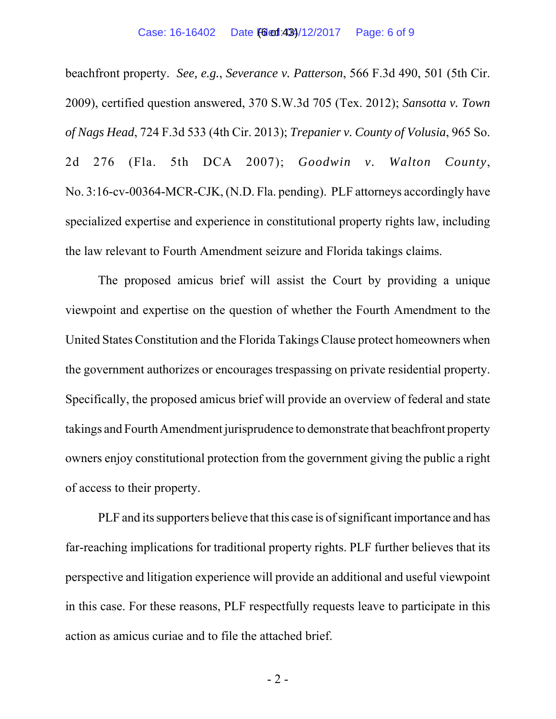beachfront property. *See, e.g.*, *Severance v. Patterson*, 566 F.3d 490, 501 (5th Cir. 2009), certified question answered, 370 S.W.3d 705 (Tex. 2012); *Sansotta v. Town of Nags Head*, 724 F.3d 533 (4th Cir. 2013); *Trepanier v. County of Volusia*, 965 So. 2d 276 (Fla. 5th DCA 2007); *Goodwin v. Walton County*, No. 3:16-cv-00364-MCR-CJK, (N.D. Fla. pending). PLF attorneys accordingly have specialized expertise and experience in constitutional property rights law, including the law relevant to Fourth Amendment seizure and Florida takings claims.

The proposed amicus brief will assist the Court by providing a unique viewpoint and expertise on the question of whether the Fourth Amendment to the United States Constitution and the Florida Takings Clause protect homeowners when the government authorizes or encourages trespassing on private residential property. Specifically, the proposed amicus brief will provide an overview of federal and state takings and Fourth Amendment jurisprudence to demonstrate that beachfront property owners enjoy constitutional protection from the government giving the public a right of access to their property.

PLF and its supporters believe that this case is of significant importance and has far-reaching implications for traditional property rights. PLF further believes that its perspective and litigation experience will provide an additional and useful viewpoint in this case. For these reasons, PLF respectfully requests leave to participate in this action as amicus curiae and to file the attached brief.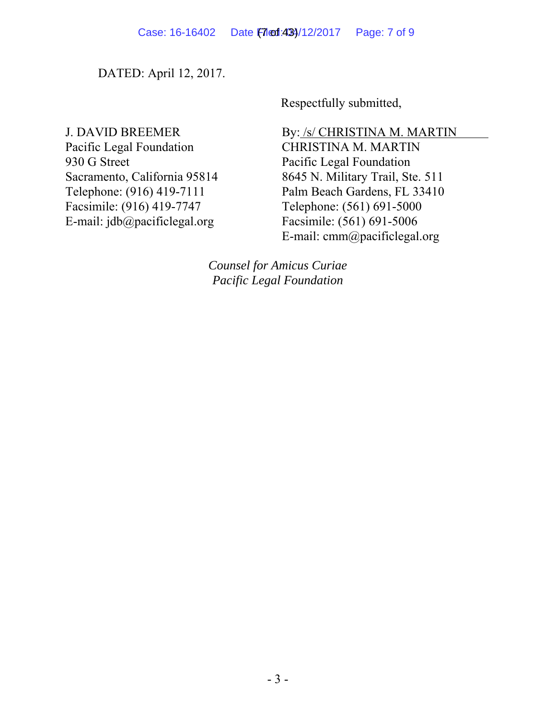DATED: April 12, 2017.

Respectfully submitted,

J. DAVID BREEMER Pacific Legal Foundation 930 G Street Sacramento, California 95814 Telephone: (916) 419-7111 Facsimile: (916) 419-7747 E-mail: jdb@pacificlegal.org

By: /s/ CHRISTINA M. MARTIN CHRISTINA M. MARTIN Pacific Legal Foundation 8645 N. Military Trail, Ste. 511 Palm Beach Gardens, FL 33410 Telephone: (561) 691-5000 Facsimile: (561) 691-5006 E-mail: cmm@pacificlegal.org

*Counsel for Amicus Curiae Pacific Legal Foundation*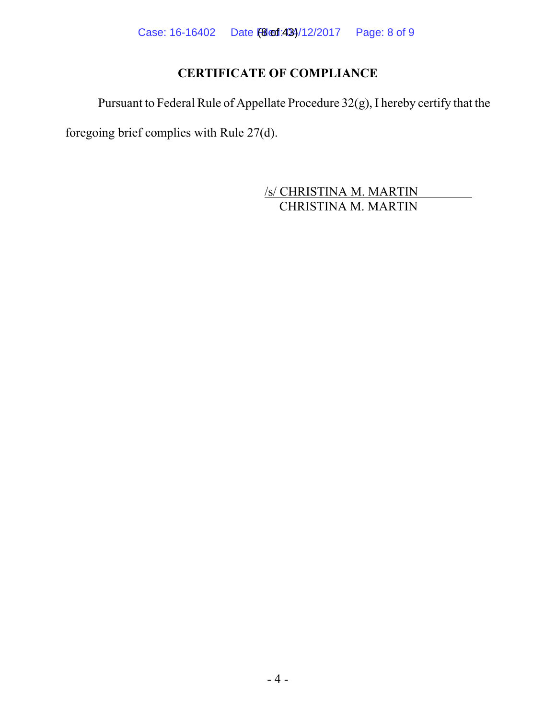# **CERTIFICATE OF COMPLIANCE**

Pursuant to Federal Rule of Appellate Procedure 32(g), I hereby certify that the

foregoing brief complies with Rule 27(d).

 /s/ CHRISTINA M. MARTIN CHRISTINA M. MARTIN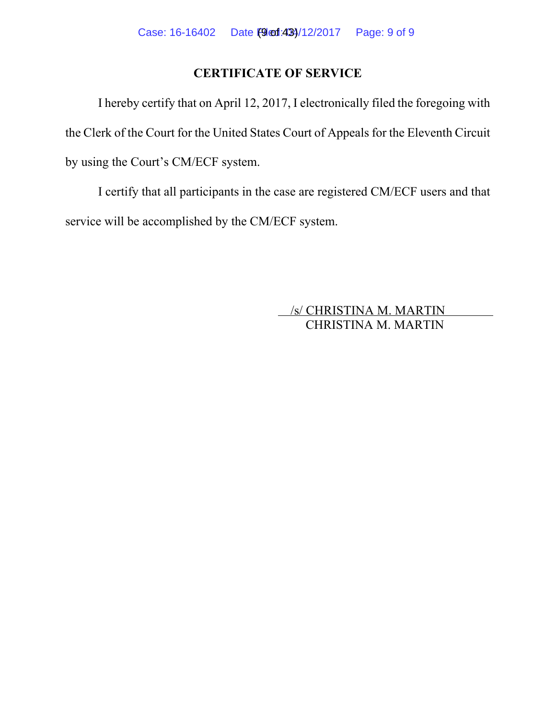# **CERTIFICATE OF SERVICE**

I hereby certify that on April 12, 2017, I electronically filed the foregoing with the Clerk of the Court for the United States Court of Appeals for the Eleventh Circuit by using the Court's CM/ECF system.

I certify that all participants in the case are registered CM/ECF users and that service will be accomplished by the CM/ECF system.

> /s/ CHRISTINA M. MARTIN CHRISTINA M. MARTIN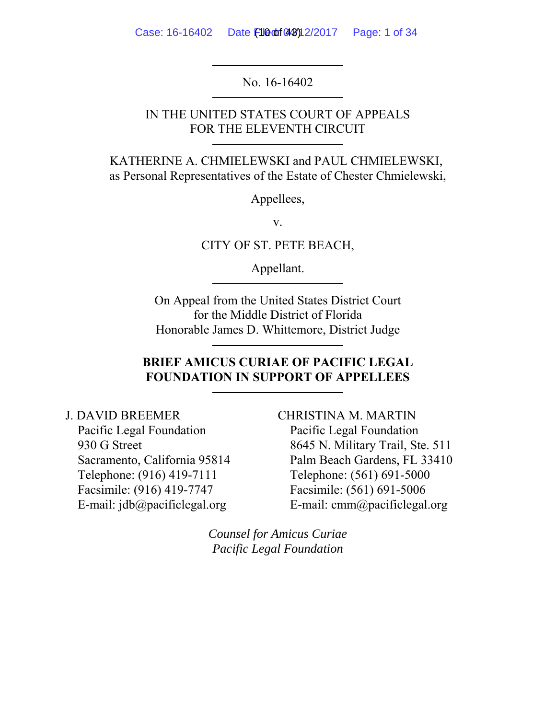Case: 16-16402 Date  $f1000f43912/2017$  Page: 1 of 34

No. 16-16402

IN THE UNITED STATES COURT OF APPEALS FOR THE ELEVENTH CIRCUIT

KATHERINE A. CHMIELEWSKI and PAUL CHMIELEWSKI, as Personal Representatives of the Estate of Chester Chmielewski,

Appellees,

v.

CITY OF ST. PETE BEACH,

Appellant.

On Appeal from the United States District Court for the Middle District of Florida Honorable James D. Whittemore, District Judge

### **BRIEF AMICUS CURIAE OF PACIFIC LEGAL FOUNDATION IN SUPPORT OF APPELLEES**

J. DAVID BREEMER Pacific Legal Foundation 930 G Street Sacramento, California 95814 Telephone: (916) 419-7111 Facsimile: (916) 419-7747 E-mail:  $idb@pacifiedegal.org$ 

CHRISTINA M. MARTIN Pacific Legal Foundation 8645 N. Military Trail, Ste. 511 Palm Beach Gardens, FL 33410 Telephone: (561) 691-5000 Facsimile: (561) 691-5006 E-mail: cmm@pacificlegal.org

*Counsel for Amicus Curiae Pacific Legal Foundation*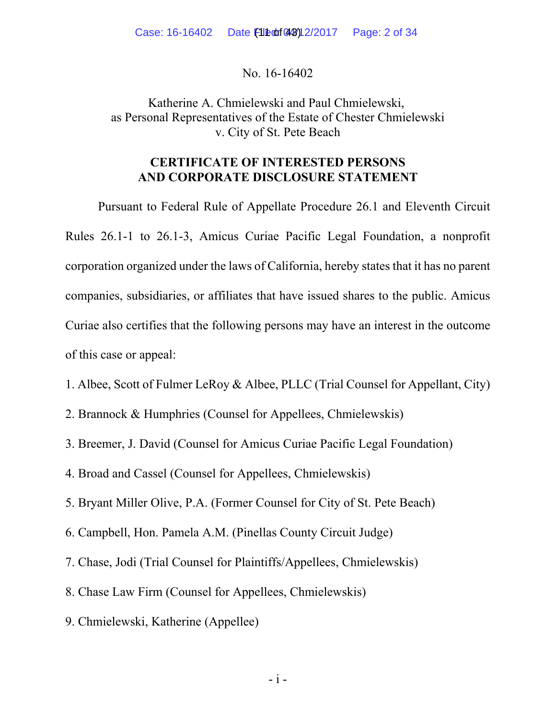No. 16-16402

Katherine A. Chmielewski and Paul Chmielewski, as Personal Representatives of the Estate of Chester Chmielewski v. City of St. Pete Beach

### **CERTIFICATE OF INTERESTED PERSONS AND CORPORATE DISCLOSURE STATEMENT**

Pursuant to Federal Rule of Appellate Procedure 26.1 and Eleventh Circuit Rules 26.1-1 to 26.1-3, Amicus Curiae Pacific Legal Foundation, a nonprofit corporation organized under the laws of California, hereby states that it has no parent companies, subsidiaries, or affiliates that have issued shares to the public. Amicus Curiae also certifies that the following persons may have an interest in the outcome of this case or appeal:

- 1. Albee, Scott of Fulmer LeRoy & Albee, PLLC (Trial Counsel for Appellant, City)
- 2. Brannock & Humphries (Counsel for Appellees, Chmielewskis)
- 3. Breemer, J. David (Counsel for Amicus Curiae Pacific Legal Foundation)
- 4. Broad and Cassel (Counsel for Appellees, Chmielewskis)
- 5. Bryant Miller Olive, P.A. (Former Counsel for City of St. Pete Beach)
- 6. Campbell, Hon. Pamela A.M. (Pinellas County Circuit Judge)
- 7. Chase, Jodi (Trial Counsel for Plaintiffs/Appellees, Chmielewskis)
- 8. Chase Law Firm (Counsel for Appellees, Chmielewskis)
- 9. Chmielewski, Katherine (Appellee)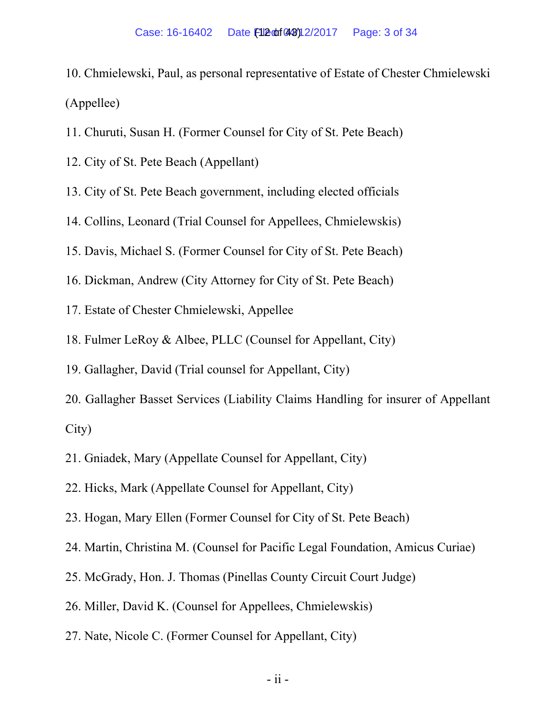- 10. Chmielewski, Paul, as personal representative of Estate of Chester Chmielewski (Appellee)
- 11. Churuti, Susan H. (Former Counsel for City of St. Pete Beach)
- 12. City of St. Pete Beach (Appellant)
- 13. City of St. Pete Beach government, including elected officials
- 14. Collins, Leonard (Trial Counsel for Appellees, Chmielewskis)
- 15. Davis, Michael S. (Former Counsel for City of St. Pete Beach)
- 16. Dickman, Andrew (City Attorney for City of St. Pete Beach)
- 17. Estate of Chester Chmielewski, Appellee
- 18. Fulmer LeRoy & Albee, PLLC (Counsel for Appellant, City)
- 19. Gallagher, David (Trial counsel for Appellant, City)
- 20. Gallagher Basset Services (Liability Claims Handling for insurer of Appellant City)
- 21. Gniadek, Mary (Appellate Counsel for Appellant, City)
- 22. Hicks, Mark (Appellate Counsel for Appellant, City)
- 23. Hogan, Mary Ellen (Former Counsel for City of St. Pete Beach)
- 24. Martin, Christina M. (Counsel for Pacific Legal Foundation, Amicus Curiae)
- 25. McGrady, Hon. J. Thomas (Pinellas County Circuit Court Judge)
- 26. Miller, David K. (Counsel for Appellees, Chmielewskis)
- 27. Nate, Nicole C. (Former Counsel for Appellant, City)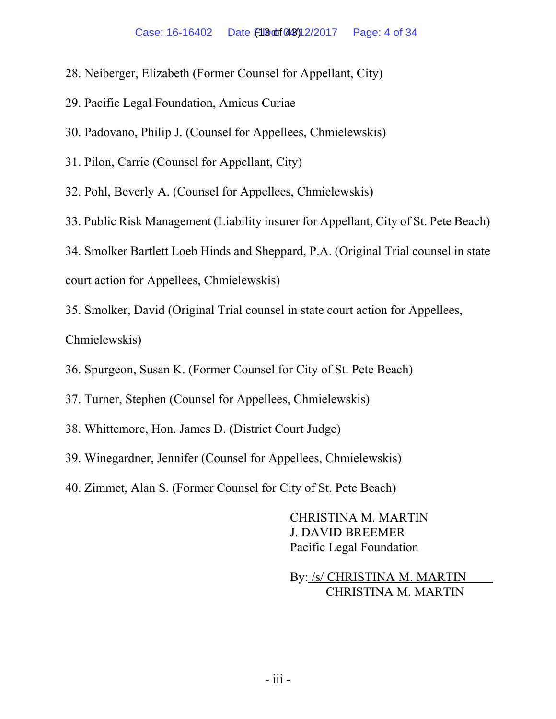- 28. Neiberger, Elizabeth (Former Counsel for Appellant, City)
- 29. Pacific Legal Foundation, Amicus Curiae
- 30. Padovano, Philip J. (Counsel for Appellees, Chmielewskis)
- 31. Pilon, Carrie (Counsel for Appellant, City)

32. Pohl, Beverly A. (Counsel for Appellees, Chmielewskis)

33. Public Risk Management (Liability insurer for Appellant, City of St. Pete Beach)

34. Smolker Bartlett Loeb Hinds and Sheppard, P.A. (Original Trial counsel in state court action for Appellees, Chmielewskis)

35. Smolker, David (Original Trial counsel in state court action for Appellees,

Chmielewskis)

- 36. Spurgeon, Susan K. (Former Counsel for City of St. Pete Beach)
- 37. Turner, Stephen (Counsel for Appellees, Chmielewskis)
- 38. Whittemore, Hon. James D. (District Court Judge)
- 39. Winegardner, Jennifer (Counsel for Appellees, Chmielewskis)
- 40. Zimmet, Alan S. (Former Counsel for City of St. Pete Beach)

CHRISTINA M. MARTIN J. DAVID BREEMER Pacific Legal Foundation

By: /s/ CHRISTINA M. MARTIN CHRISTINA M. MARTIN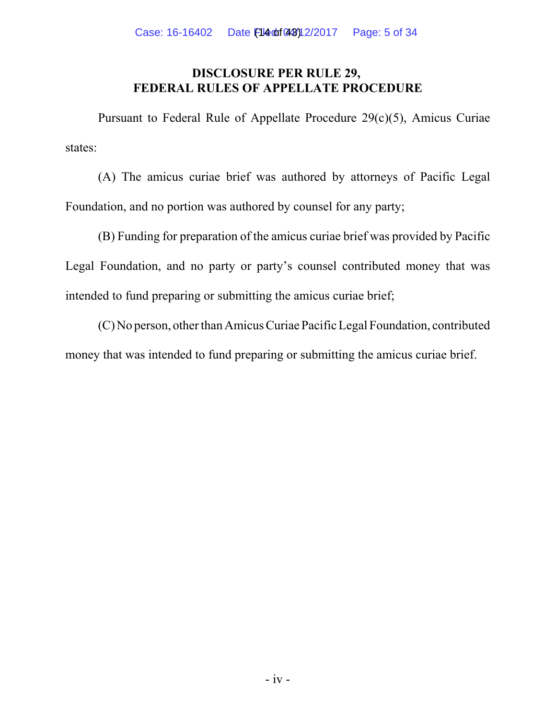## **DISCLOSURE PER RULE 29, FEDERAL RULES OF APPELLATE PROCEDURE**

Pursuant to Federal Rule of Appellate Procedure 29(c)(5), Amicus Curiae states:

(A) The amicus curiae brief was authored by attorneys of Pacific Legal Foundation, and no portion was authored by counsel for any party;

(B) Funding for preparation of the amicus curiae brief was provided by Pacific Legal Foundation, and no party or party's counsel contributed money that was intended to fund preparing or submitting the amicus curiae brief;

(C) No person, other than Amicus Curiae Pacific Legal Foundation, contributed money that was intended to fund preparing or submitting the amicus curiae brief.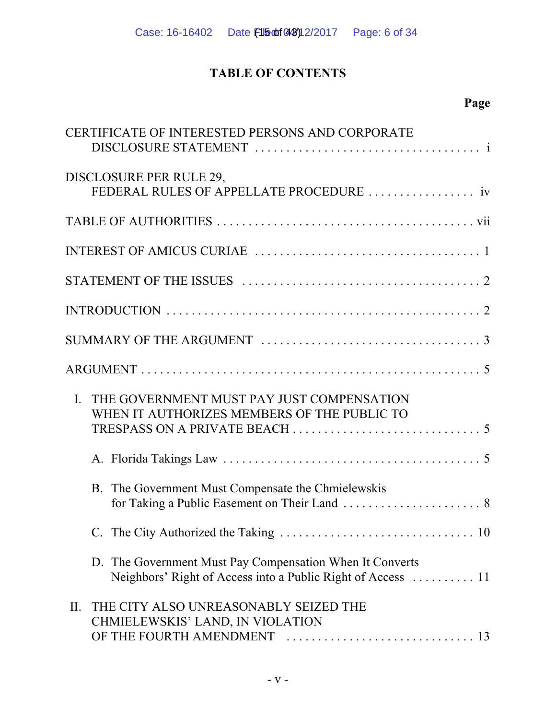# **TABLE OF CONTENTS**

# **Page**

|                | CERTIFICATE OF INTERESTED PERSONS AND CORPORATE                                                                          |
|----------------|--------------------------------------------------------------------------------------------------------------------------|
|                | DISCLOSURE PER RULE 29,                                                                                                  |
|                |                                                                                                                          |
|                |                                                                                                                          |
|                |                                                                                                                          |
|                |                                                                                                                          |
|                |                                                                                                                          |
|                |                                                                                                                          |
|                |                                                                                                                          |
| $\mathbf{I}$ . | THE GOVERNMENT MUST PAY JUST COMPENSATION<br>WHEN IT AUTHORIZES MEMBERS OF THE PUBLIC TO                                 |
|                |                                                                                                                          |
|                | B. The Government Must Compensate the Chmielewskis                                                                       |
|                |                                                                                                                          |
|                | D. The Government Must Pay Compensation When It Converts<br>Neighbors' Right of Access into a Public Right of Access  11 |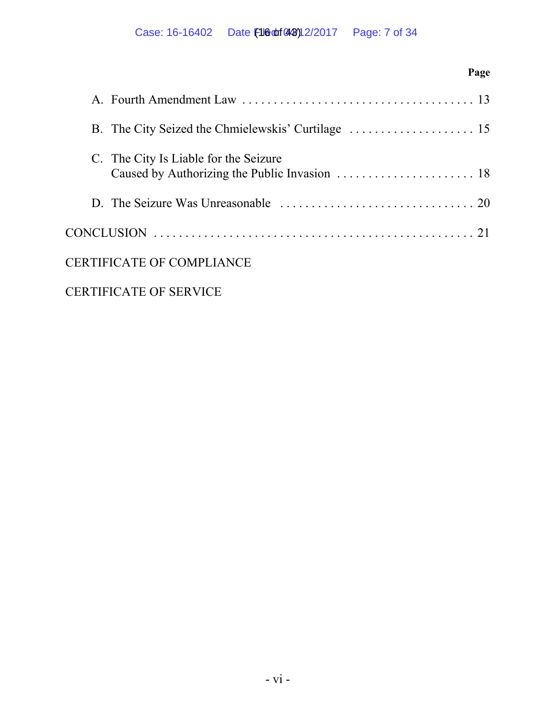# **Page** A. Fourth Amendment Law . . . . . . . . . . . . . . . . . . . . . . . . . . . . . . . . . . . . . 13 B. The City Seized the Chmielewskis' Curtilage . . . . . . . . . . . . . . . . . . . . 15 C. The City Is Liable for the Seizure Caused by Authorizing the Public Invasion . . . . . . . . . . . . . . . . . . . . . . 18 D. The Seizure Was Unreasonable . . . . . . . . . . . . . . . . . . . . . . . . . . . . . . . 20 CONCLUSION . . . . . . . . . . . . . . . . . . . . . . . . . . . . . . . . . . . . . . . . . . . . . . . . . . . 21 CERTIFICATE OF COMPLIANCE

# CERTIFICATE OF SERVICE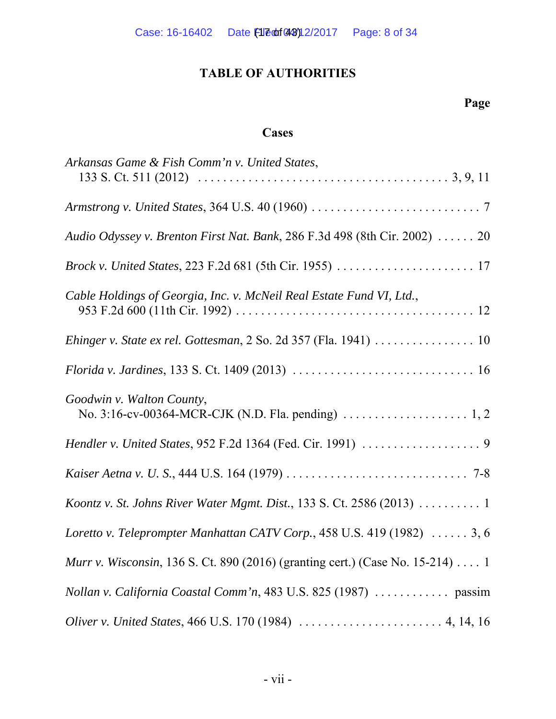# **TABLE OF AUTHORITIES**

# **Page**

# **Cases**

| Arkansas Game & Fish Comm'n v. United States,                                         |
|---------------------------------------------------------------------------------------|
|                                                                                       |
| Audio Odyssey v. Brenton First Nat. Bank, 286 F.3d 498 (8th Cir. 2002)  20            |
|                                                                                       |
| Cable Holdings of Georgia, Inc. v. McNeil Real Estate Fund VI, Ltd.,                  |
| Ehinger v. State ex rel. Gottesman, 2 So. 2d 357 (Fla. 1941)  10                      |
|                                                                                       |
| Goodwin v. Walton County,                                                             |
|                                                                                       |
|                                                                                       |
| Koontz v. St. Johns River Water Mgmt. Dist., 133 S. Ct. 2586 (2013)  1                |
| Loretto v. Teleprompter Manhattan CATV Corp., 458 U.S. 419 (1982)  3, 6               |
| <i>Murr v. Wisconsin</i> , 136 S. Ct. 890 (2016) (granting cert.) (Case No. 15-214) 1 |
| Nollan v. California Coastal Comm'n, 483 U.S. 825 (1987)  passim                      |
|                                                                                       |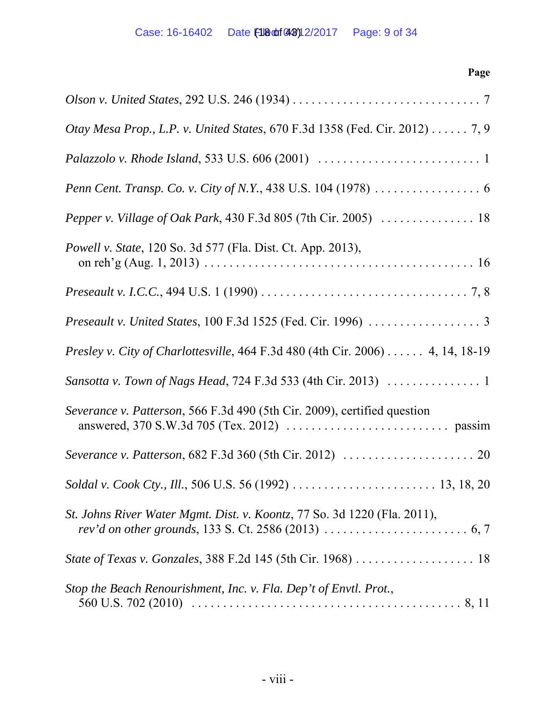| Page                                                                                                                                      |
|-------------------------------------------------------------------------------------------------------------------------------------------|
| Olson v. United States, 292 U.S. 246 (1934) $\dots \dots \dots \dots \dots \dots \dots \dots \dots \dots \dots$                           |
| Otay Mesa Prop., L.P. v. United States, 670 F.3d 1358 (Fed. Cir. 2012) 7, 9                                                               |
|                                                                                                                                           |
| Penn Cent. Transp. Co. v. City of N.Y., 438 U.S. 104 (1978) 6                                                                             |
|                                                                                                                                           |
| <i>Powell v. State, 120 So. 3d 577 (Fla. Dist. Ct. App. 2013),</i>                                                                        |
| <i>Preseault v. I.C.C.</i> , 494 U.S. 1 (1990) $\ldots \ldots \ldots \ldots \ldots \ldots \ldots \ldots \ldots \ldots \ldots \ldots$ 7, 8 |
|                                                                                                                                           |
| Presley v. City of Charlottesville, 464 F.3d 480 (4th Cir. 2006) 4, 14, 18-19                                                             |
|                                                                                                                                           |
| Severance v. Patterson, 566 F.3d 490 (5th Cir. 2009), certified question                                                                  |
|                                                                                                                                           |
|                                                                                                                                           |
| St. Johns River Water Mgmt. Dist. v. Koontz, 77 So. 3d 1220 (Fla. 2011),                                                                  |
|                                                                                                                                           |
| Stop the Beach Renourishment, Inc. v. Fla. Dep't of Envtl. Prot.,                                                                         |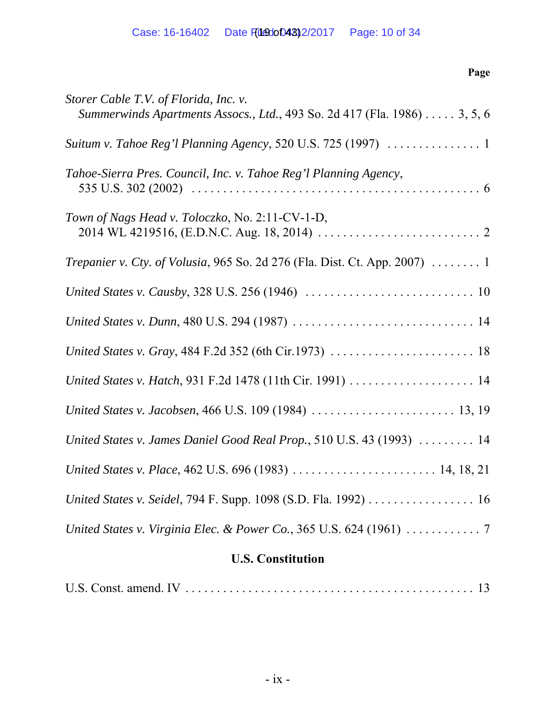# **Page**

| Storer Cable T.V. of Florida, Inc. v.<br>Summerwinds Apartments Assocs., Ltd., 493 So. 2d 417 (Fla. 1986) 3, 5, 6 |
|-------------------------------------------------------------------------------------------------------------------|
|                                                                                                                   |
| Tahoe-Sierra Pres. Council, Inc. v. Tahoe Reg'l Planning Agency,                                                  |
| Town of Nags Head v. Toloczko, No. 2:11-CV-1-D,                                                                   |
| <i>Trepanier v. Cty. of Volusia, 965 So. 2d 276 (Fla. Dist. Ct. App. 2007) </i> 1                                 |
|                                                                                                                   |
|                                                                                                                   |
|                                                                                                                   |
|                                                                                                                   |
|                                                                                                                   |
| United States v. James Daniel Good Real Prop., 510 U.S. 43 (1993)  14                                             |
| United States v. Place, 462 U.S. 696 (1983)  14, 18, 21                                                           |
| United States v. Seidel, 794 F. Supp. 1098 (S.D. Fla. 1992) 16                                                    |
|                                                                                                                   |
|                                                                                                                   |

# **U.S. Constitution**

|--|--|--|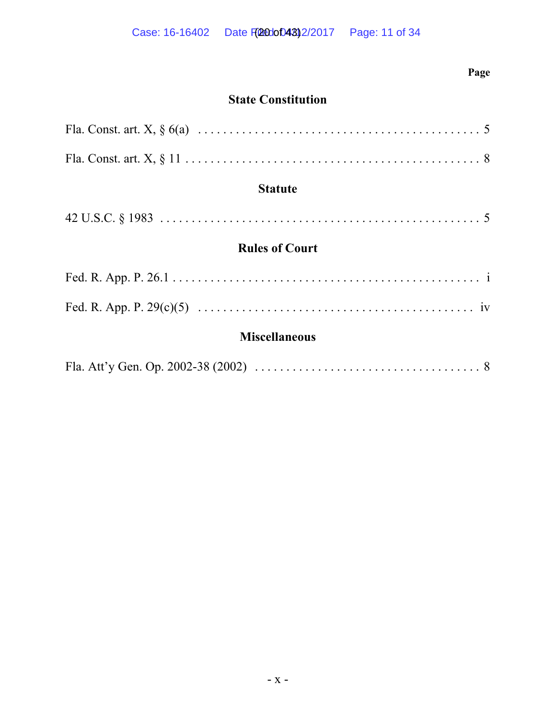# **Page**

# **State Constitution**

| <b>Statute</b>        |
|-----------------------|
|                       |
| <b>Rules of Court</b> |
|                       |
|                       |
| <b>Miscellaneous</b>  |
|                       |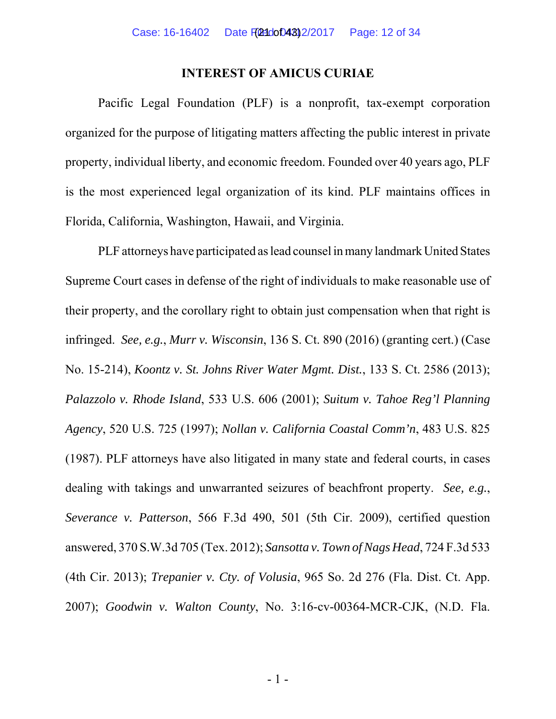#### **INTEREST OF AMICUS CURIAE**

Pacific Legal Foundation (PLF) is a nonprofit, tax-exempt corporation organized for the purpose of litigating matters affecting the public interest in private property, individual liberty, and economic freedom. Founded over 40 years ago, PLF is the most experienced legal organization of its kind. PLF maintains offices in Florida, California, Washington, Hawaii, and Virginia.

PLF attorneys have participated as lead counsel in many landmark United States Supreme Court cases in defense of the right of individuals to make reasonable use of their property, and the corollary right to obtain just compensation when that right is infringed. *See, e.g.*, *Murr v. Wisconsin*, 136 S. Ct. 890 (2016) (granting cert.) (Case No. 15-214), *Koontz v. St. Johns River Water Mgmt. Dist.*, 133 S. Ct. 2586 (2013); *Palazzolo v. Rhode Island*, 533 U.S. 606 (2001); *Suitum v. Tahoe Reg'l Planning Agency*, 520 U.S. 725 (1997); *Nollan v. California Coastal Comm'n*, 483 U.S. 825 (1987). PLF attorneys have also litigated in many state and federal courts, in cases dealing with takings and unwarranted seizures of beachfront property. *See, e.g.*, *Severance v. Patterson*, 566 F.3d 490, 501 (5th Cir. 2009), certified question answered, 370 S.W.3d 705 (Tex. 2012); *Sansotta v. Town of Nags Head*, 724 F.3d 533 (4th Cir. 2013); *Trepanier v. Cty. of Volusia*, 965 So. 2d 276 (Fla. Dist. Ct. App. 2007); *Goodwin v. Walton County*, No. 3:16-cv-00364-MCR-CJK, (N.D. Fla.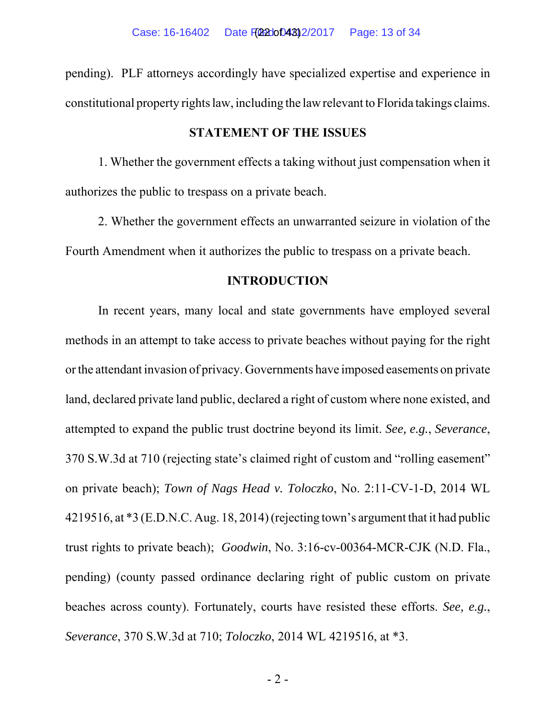pending). PLF attorneys accordingly have specialized expertise and experience in constitutional property rights law, including the law relevant to Florida takings claims.

#### **STATEMENT OF THE ISSUES**

1. Whether the government effects a taking without just compensation when it authorizes the public to trespass on a private beach.

2. Whether the government effects an unwarranted seizure in violation of the Fourth Amendment when it authorizes the public to trespass on a private beach.

#### **INTRODUCTION**

In recent years, many local and state governments have employed several methods in an attempt to take access to private beaches without paying for the right or the attendant invasion of privacy. Governments have imposed easements on private land, declared private land public, declared a right of custom where none existed, and attempted to expand the public trust doctrine beyond its limit. *See, e.g.*, *Severance*, 370 S.W.3d at 710 (rejecting state's claimed right of custom and "rolling easement" on private beach); *Town of Nags Head v. Toloczko*, No. 2:11-CV-1-D, 2014 WL 4219516, at \*3 (E.D.N.C. Aug. 18, 2014) (rejecting town's argument that it had public trust rights to private beach); *Goodwin*, No. 3:16-cv-00364-MCR-CJK (N.D. Fla., pending) (county passed ordinance declaring right of public custom on private beaches across county). Fortunately, courts have resisted these efforts. *See, e.g.*, *Severance*, 370 S.W.3d at 710; *Toloczko*, 2014 WL 4219516, at \*3.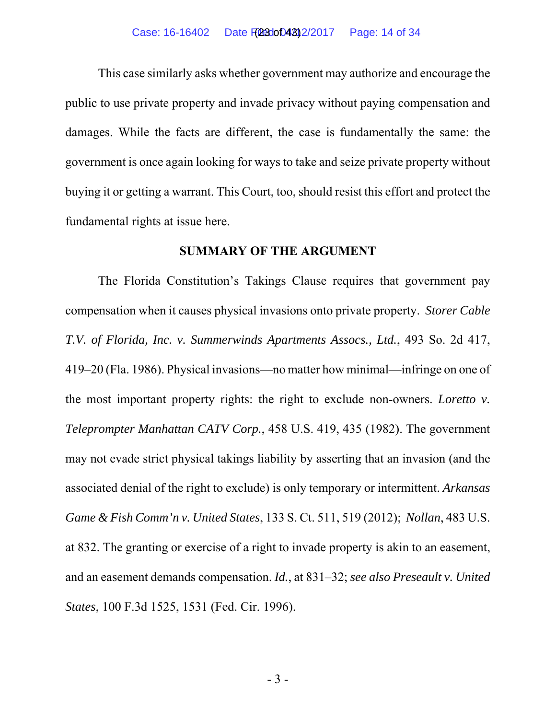This case similarly asks whether government may authorize and encourage the public to use private property and invade privacy without paying compensation and damages. While the facts are different, the case is fundamentally the same: the government is once again looking for ways to take and seize private property without buying it or getting a warrant. This Court, too, should resist this effort and protect the fundamental rights at issue here.

#### **SUMMARY OF THE ARGUMENT**

The Florida Constitution's Takings Clause requires that government pay compensation when it causes physical invasions onto private property. *Storer Cable T.V. of Florida, Inc. v. Summerwinds Apartments Assocs., Ltd.*, 493 So. 2d 417, 419–20 (Fla. 1986). Physical invasions—no matter how minimal—infringe on one of the most important property rights: the right to exclude non-owners. *Loretto v. Teleprompter Manhattan CATV Corp.*, 458 U.S. 419, 435 (1982). The government may not evade strict physical takings liability by asserting that an invasion (and the associated denial of the right to exclude) is only temporary or intermittent. *Arkansas Game & Fish Comm'n v. United States*, 133 S. Ct. 511, 519 (2012); *Nollan*, 483 U.S. at 832. The granting or exercise of a right to invade property is akin to an easement, and an easement demands compensation. *Id.*, at 831–32; *see also Preseault v. United States*, 100 F.3d 1525, 1531 (Fed. Cir. 1996).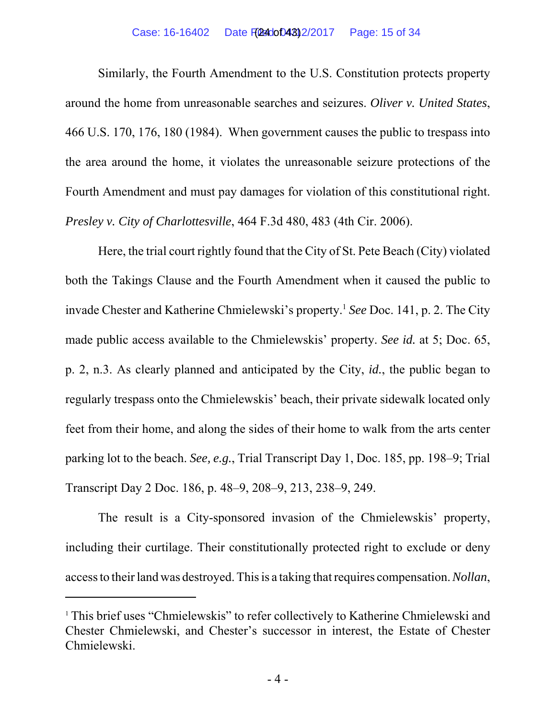Similarly, the Fourth Amendment to the U.S. Constitution protects property around the home from unreasonable searches and seizures. *Oliver v. United States*, 466 U.S. 170, 176, 180 (1984). When government causes the public to trespass into the area around the home, it violates the unreasonable seizure protections of the Fourth Amendment and must pay damages for violation of this constitutional right. *Presley v. City of Charlottesville*, 464 F.3d 480, 483 (4th Cir. 2006).

Here, the trial court rightly found that the City of St. Pete Beach (City) violated both the Takings Clause and the Fourth Amendment when it caused the public to invade Chester and Katherine Chmielewski's property.1 *See* Doc. 141, p. 2. The City made public access available to the Chmielewskis' property. *See id.* at 5; Doc. 65, p. 2, n.3. As clearly planned and anticipated by the City, *id.*, the public began to regularly trespass onto the Chmielewskis' beach, their private sidewalk located only feet from their home, and along the sides of their home to walk from the arts center parking lot to the beach. *See, e.g.*, Trial Transcript Day 1, Doc. 185, pp. 198–9; Trial Transcript Day 2 Doc. 186, p. 48–9, 208–9, 213, 238–9, 249.

The result is a City-sponsored invasion of the Chmielewskis' property, including their curtilage. Their constitutionally protected right to exclude or deny access to their land was destroyed. This is a taking that requires compensation. *Nollan*,

<sup>&</sup>lt;sup>1</sup> This brief uses "Chmielewskis" to refer collectively to Katherine Chmielewski and Chester Chmielewski, and Chester's successor in interest, the Estate of Chester Chmielewski.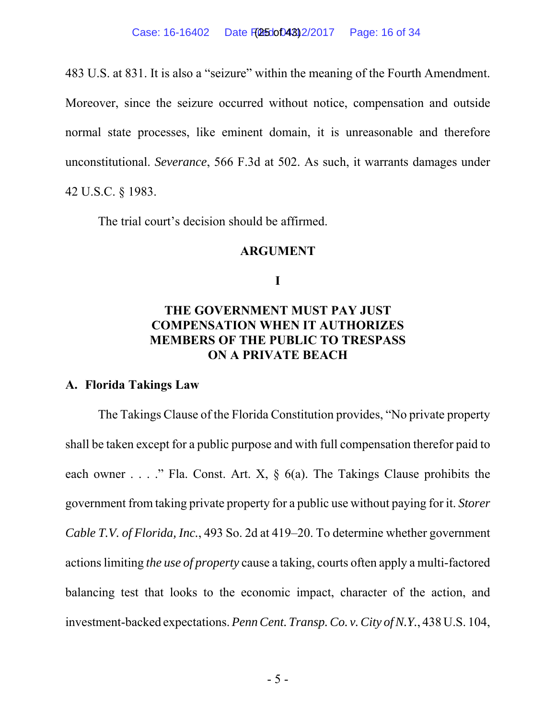483 U.S. at 831. It is also a "seizure" within the meaning of the Fourth Amendment. Moreover, since the seizure occurred without notice, compensation and outside normal state processes, like eminent domain, it is unreasonable and therefore unconstitutional. *Severance*, 566 F.3d at 502. As such, it warrants damages under 42 U.S.C. § 1983.

The trial court's decision should be affirmed.

#### **ARGUMENT**

**I**

# **THE GOVERNMENT MUST PAY JUST COMPENSATION WHEN IT AUTHORIZES MEMBERS OF THE PUBLIC TO TRESPASS ON A PRIVATE BEACH**

#### **A. Florida Takings Law**

The Takings Clause of the Florida Constitution provides, "No private property shall be taken except for a public purpose and with full compensation therefor paid to each owner . . . ." Fla. Const. Art. X,  $\S$  6(a). The Takings Clause prohibits the government from taking private property for a public use without paying for it. *Storer Cable T.V. of Florida, Inc.*, 493 So. 2d at 419–20. To determine whether government actions limiting *the use of property* cause a taking, courts often apply a multi-factored balancing test that looks to the economic impact, character of the action, and investment-backed expectations. *Penn Cent. Transp. Co. v. City of N.Y.*, 438 U.S. 104,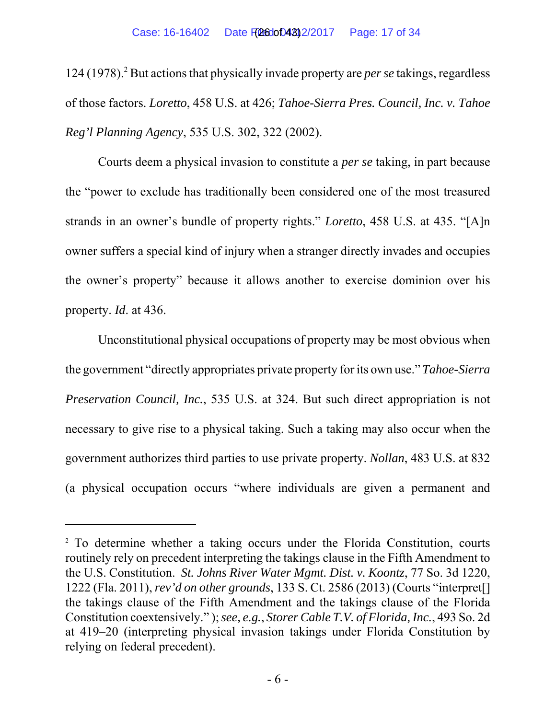124 (1978).<sup>2</sup> But actions that physically invade property are *per se* takings, regardless of those factors. *Loretto*, 458 U.S. at 426; *Tahoe-Sierra Pres. Council, Inc. v. Tahoe Reg'l Planning Agency*, 535 U.S. 302, 322 (2002).

Courts deem a physical invasion to constitute a *per se* taking, in part because the "power to exclude has traditionally been considered one of the most treasured strands in an owner's bundle of property rights." *Loretto*, 458 U.S. at 435. "[A]n owner suffers a special kind of injury when a stranger directly invades and occupies the owner's property" because it allows another to exercise dominion over his property. *Id*. at 436.

Unconstitutional physical occupations of property may be most obvious when the government "directly appropriates private property for its own use." *Tahoe-Sierra Preservation Council, Inc.*, 535 U.S. at 324. But such direct appropriation is not necessary to give rise to a physical taking. Such a taking may also occur when the government authorizes third parties to use private property. *Nollan*, 483 U.S. at 832 (a physical occupation occurs "where individuals are given a permanent and

<sup>&</sup>lt;sup>2</sup> To determine whether a taking occurs under the Florida Constitution, courts routinely rely on precedent interpreting the takings clause in the Fifth Amendment to the U.S. Constitution. *St. Johns River Water Mgmt. Dist. v. Koontz*, 77 So. 3d 1220, 1222 (Fla. 2011), *rev'd on other grounds*, 133 S. Ct. 2586 (2013) (Courts "interpret[] the takings clause of the Fifth Amendment and the takings clause of the Florida Constitution coextensively." ); *see, e.g.*, *Storer Cable T.V. of Florida, Inc.*, 493 So. 2d at 419–20 (interpreting physical invasion takings under Florida Constitution by relying on federal precedent).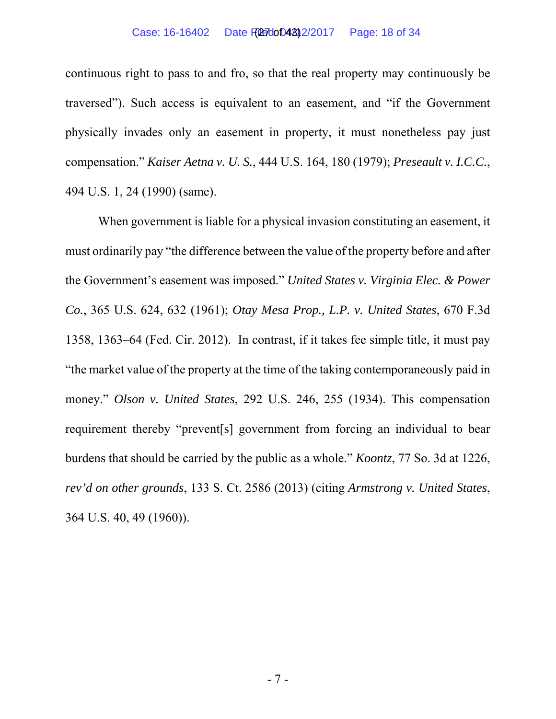#### Case: 16-16402 Date File dot 0430 2/2017 Page: 18 of 34

continuous right to pass to and fro, so that the real property may continuously be traversed"). Such access is equivalent to an easement, and "if the Government physically invades only an easement in property, it must nonetheless pay just compensation." *Kaiser Aetna v. U. S.*, 444 U.S. 164, 180 (1979); *Preseault v. I.C.C.*, 494 U.S. 1, 24 (1990) (same).

When government is liable for a physical invasion constituting an easement, it must ordinarily pay "the difference between the value of the property before and after the Government's easement was imposed." *United States v. Virginia Elec. & Power Co.*, 365 U.S. 624, 632 (1961); *Otay Mesa Prop., L.P. v. United States*, 670 F.3d 1358, 1363–64 (Fed. Cir. 2012). In contrast, if it takes fee simple title, it must pay "the market value of the property at the time of the taking contemporaneously paid in money." *Olson v. United States*, 292 U.S. 246, 255 (1934). This compensation requirement thereby "prevent[s] government from forcing an individual to bear burdens that should be carried by the public as a whole." *Koontz*, 77 So. 3d at 1226, *rev'd on other grounds*, 133 S. Ct. 2586 (2013) (citing *Armstrong v. United States*, 364 U.S. 40, 49 (1960)).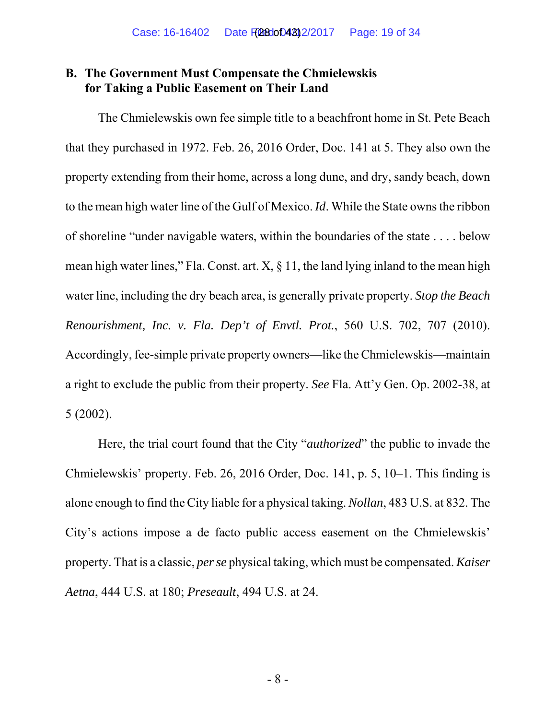### **B. The Government Must Compensate the Chmielewskis for Taking a Public Easement on Their Land**

The Chmielewskis own fee simple title to a beachfront home in St. Pete Beach that they purchased in 1972. Feb. 26, 2016 Order, Doc. 141 at 5. They also own the property extending from their home, across a long dune, and dry, sandy beach, down to the mean high water line of the Gulf of Mexico. *Id*. While the State owns the ribbon of shoreline "under navigable waters, within the boundaries of the state . . . . below mean high water lines," Fla. Const. art.  $X$ ,  $\S$  11, the land lying inland to the mean high water line, including the dry beach area, is generally private property. *Stop the Beach Renourishment, Inc. v. Fla. Dep't of Envtl. Prot.*, 560 U.S. 702, 707 (2010). Accordingly, fee-simple private property owners—like the Chmielewskis—maintain a right to exclude the public from their property. *See* Fla. Att'y Gen. Op. 2002-38, at 5 (2002).

Here, the trial court found that the City "*authorized*" the public to invade the Chmielewskis' property. Feb. 26, 2016 Order, Doc. 141, p. 5, 10–1. This finding is alone enough to find the City liable for a physical taking. *Nollan*, 483 U.S. at 832. The City's actions impose a de facto public access easement on the Chmielewskis' property. That is a classic, *per se* physical taking, which must be compensated. *Kaiser Aetna*, 444 U.S. at 180; *Preseault*, 494 U.S. at 24.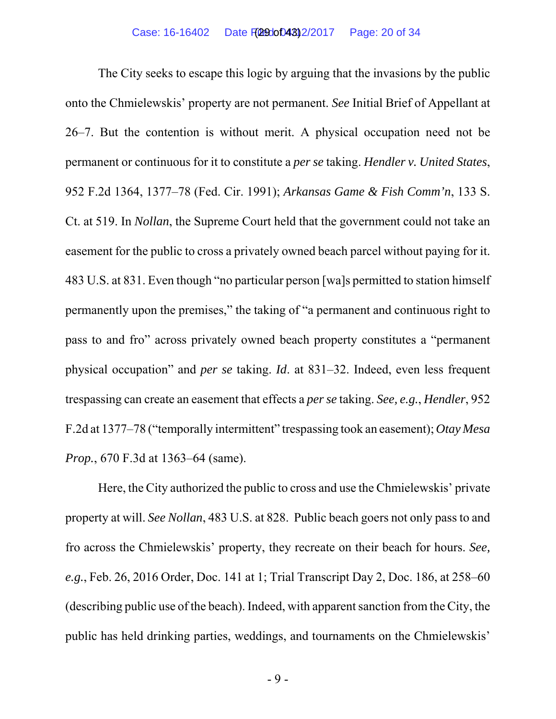The City seeks to escape this logic by arguing that the invasions by the public onto the Chmielewskis' property are not permanent. *See* Initial Brief of Appellant at 26–7. But the contention is without merit. A physical occupation need not be permanent or continuous for it to constitute a *per se* taking. *Hendler v. United States*, 952 F.2d 1364, 1377–78 (Fed. Cir. 1991); *Arkansas Game & Fish Comm'n*, 133 S. Ct. at 519. In *Nollan*, the Supreme Court held that the government could not take an easement for the public to cross a privately owned beach parcel without paying for it. 483 U.S. at 831. Even though "no particular person [wa]s permitted to station himself permanently upon the premises," the taking of "a permanent and continuous right to pass to and fro" across privately owned beach property constitutes a "permanent physical occupation" and *per se* taking. *Id*. at 831–32. Indeed, even less frequent trespassing can create an easement that effects a *per se* taking. *See, e.g.*, *Hendler*, 952 F.2d at 1377–78 ("temporally intermittent" trespassing took an easement); *Otay Mesa Prop.*, 670 F.3d at 1363–64 (same).

Here, the City authorized the public to cross and use the Chmielewskis' private property at will. *See Nollan*, 483 U.S. at 828. Public beach goers not only pass to and fro across the Chmielewskis' property, they recreate on their beach for hours. *See, e.g.*, Feb. 26, 2016 Order, Doc. 141 at 1; Trial Transcript Day 2, Doc. 186, at 258–60 (describing public use of the beach). Indeed, with apparent sanction from the City, the public has held drinking parties, weddings, and tournaments on the Chmielewskis'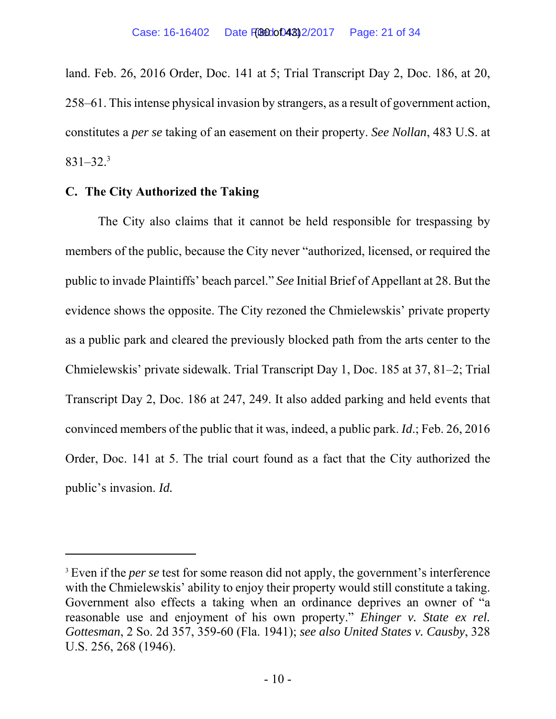land. Feb. 26, 2016 Order, Doc. 141 at 5; Trial Transcript Day 2, Doc. 186, at 20, 258–61. This intense physical invasion by strangers, as a result of government action, constitutes a *per se* taking of an easement on their property. *See Nollan*, 483 U.S. at  $831 - 32.<sup>3</sup>$ 

### **C. The City Authorized the Taking**

The City also claims that it cannot be held responsible for trespassing by members of the public, because the City never "authorized, licensed, or required the public to invade Plaintiffs' beach parcel." *See* Initial Brief of Appellant at 28. But the evidence shows the opposite. The City rezoned the Chmielewskis' private property as a public park and cleared the previously blocked path from the arts center to the Chmielewskis' private sidewalk. Trial Transcript Day 1, Doc. 185 at 37, 81–2; Trial Transcript Day 2, Doc. 186 at 247, 249. It also added parking and held events that convinced members of the public that it was, indeed, a public park. *Id*.; Feb. 26, 2016 Order, Doc. 141 at 5. The trial court found as a fact that the City authorized the public's invasion. *Id.*

<sup>&</sup>lt;sup>3</sup> Even if the *per se* test for some reason did not apply, the government's interference with the Chmielewskis' ability to enjoy their property would still constitute a taking. Government also effects a taking when an ordinance deprives an owner of "a reasonable use and enjoyment of his own property." *Ehinger v. State ex rel. Gottesman*, 2 So. 2d 357, 359-60 (Fla. 1941); *see also United States v. Causby*, 328 U.S. 256, 268 (1946).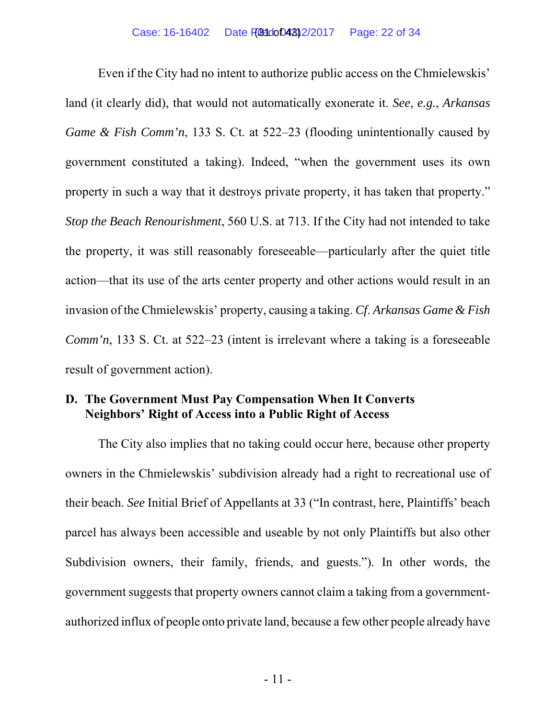Even if the City had no intent to authorize public access on the Chmielewskis' land (it clearly did), that would not automatically exonerate it. *See, e.g.*, *Arkansas Game & Fish Comm'n*, 133 S. Ct. at 522–23 (flooding unintentionally caused by government constituted a taking). Indeed, "when the government uses its own property in such a way that it destroys private property, it has taken that property." *Stop the Beach Renourishment*, 560 U.S. at 713. If the City had not intended to take the property, it was still reasonably foreseeable—particularly after the quiet title action—that its use of the arts center property and other actions would result in an invasion of the Chmielewskis' property, causing a taking. *Cf*. *Arkansas Game & Fish Comm'n*, 133 S. Ct. at 522–23 (intent is irrelevant where a taking is a foreseeable result of government action).

### **D. The Government Must Pay Compensation When It Converts Neighbors' Right of Access into a Public Right of Access**

The City also implies that no taking could occur here, because other property owners in the Chmielewskis' subdivision already had a right to recreational use of their beach. *See* Initial Brief of Appellants at 33 ("In contrast, here, Plaintiffs' beach parcel has always been accessible and useable by not only Plaintiffs but also other Subdivision owners, their family, friends, and guests."). In other words, the government suggests that property owners cannot claim a taking from a governmentauthorized influx of people onto private land, because a few other people already have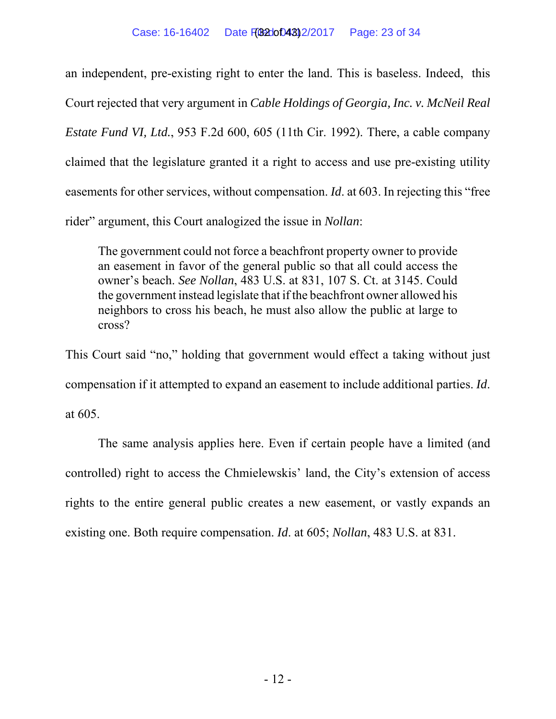an independent, pre-existing right to enter the land. This is baseless. Indeed, this Court rejected that very argument in *Cable Holdings of Georgia, Inc. v. McNeil Real Estate Fund VI, Ltd.*, 953 F.2d 600, 605 (11th Cir. 1992). There, a cable company claimed that the legislature granted it a right to access and use pre-existing utility easements for other services, without compensation. *Id*. at 603. In rejecting this "free rider" argument, this Court analogized the issue in *Nollan*:

The government could not force a beachfront property owner to provide an easement in favor of the general public so that all could access the owner's beach. *See Nollan*, 483 U.S. at 831, 107 S. Ct. at 3145. Could the government instead legislate that if the beachfront owner allowed his neighbors to cross his beach, he must also allow the public at large to cross?

This Court said "no," holding that government would effect a taking without just compensation if it attempted to expand an easement to include additional parties. *Id*. at 605.

The same analysis applies here. Even if certain people have a limited (and controlled) right to access the Chmielewskis' land, the City's extension of access rights to the entire general public creates a new easement, or vastly expands an existing one. Both require compensation. *Id*. at 605; *Nollan*, 483 U.S. at 831.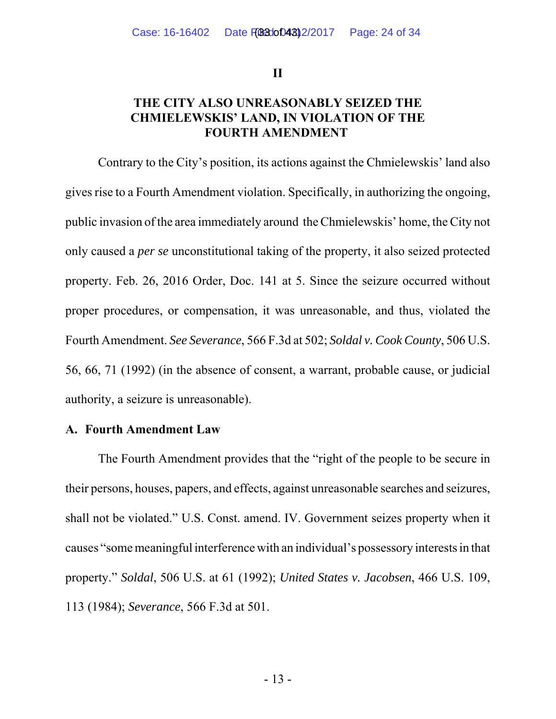**II**

### **THE CITY ALSO UNREASONABLY SEIZED THE CHMIELEWSKIS' LAND, IN VIOLATION OF THE FOURTH AMENDMENT**

Contrary to the City's position, its actions against the Chmielewskis' land also gives rise to a Fourth Amendment violation. Specifically, in authorizing the ongoing, public invasion of the area immediately around the Chmielewskis' home, the City not only caused a *per se* unconstitutional taking of the property, it also seized protected property. Feb. 26, 2016 Order, Doc. 141 at 5. Since the seizure occurred without proper procedures, or compensation, it was unreasonable, and thus, violated the Fourth Amendment. *See Severance*, 566 F.3d at 502; *Soldal v. Cook County*, 506 U.S. 56, 66, 71 (1992) (in the absence of consent, a warrant, probable cause, or judicial authority, a seizure is unreasonable).

#### **A. Fourth Amendment Law**

The Fourth Amendment provides that the "right of the people to be secure in their persons, houses, papers, and effects, against unreasonable searches and seizures, shall not be violated." U.S. Const. amend. IV. Government seizes property when it causes "some meaningful interference with an individual's possessory interests in that property." *Soldal*, 506 U.S. at 61 (1992); *United States v. Jacobsen*, 466 U.S. 109, 113 (1984); *Severance*, 566 F.3d at 501.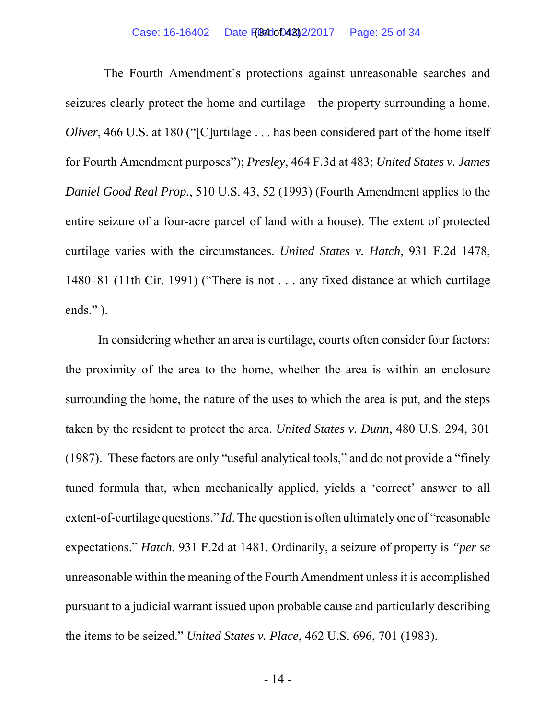The Fourth Amendment's protections against unreasonable searches and seizures clearly protect the home and curtilage—the property surrounding a home. *Oliver*, 466 U.S. at 180 ("[C]urtilage . . . has been considered part of the home itself for Fourth Amendment purposes"); *Presley*, 464 F.3d at 483; *United States v. James Daniel Good Real Prop.*, 510 U.S. 43, 52 (1993) (Fourth Amendment applies to the entire seizure of a four-acre parcel of land with a house). The extent of protected curtilage varies with the circumstances. *United States v. Hatch*, 931 F.2d 1478, 1480–81 (11th Cir. 1991) ("There is not . . . any fixed distance at which curtilage ends." ).

In considering whether an area is curtilage, courts often consider four factors: the proximity of the area to the home, whether the area is within an enclosure surrounding the home, the nature of the uses to which the area is put, and the steps taken by the resident to protect the area. *United States v. Dunn*, 480 U.S. 294, 301 (1987). These factors are only "useful analytical tools," and do not provide a "finely tuned formula that, when mechanically applied, yields a 'correct' answer to all extent-of-curtilage questions." *Id*. The question is often ultimately one of "reasonable expectations." *Hatch*, 931 F.2d at 1481. Ordinarily, a seizure of property is *"per se* unreasonable within the meaning of the Fourth Amendment unless it is accomplished pursuant to a judicial warrant issued upon probable cause and particularly describing the items to be seized." *United States v. Place*, 462 U.S. 696, 701 (1983).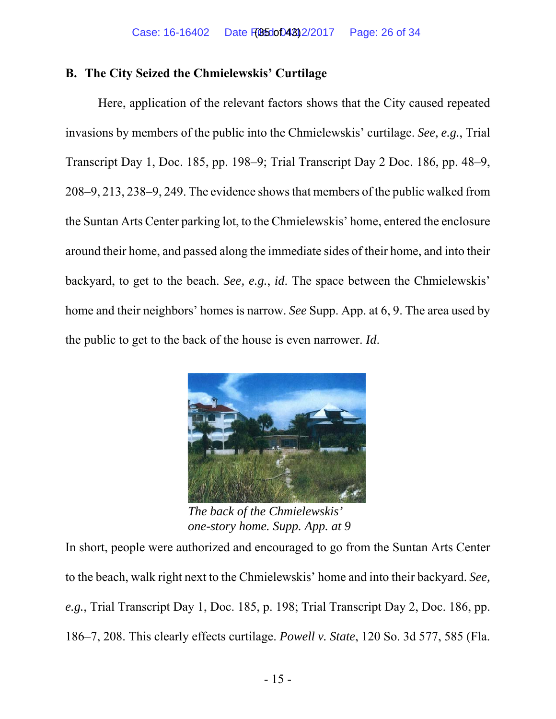### **B. The City Seized the Chmielewskis' Curtilage**

Here, application of the relevant factors shows that the City caused repeated invasions by members of the public into the Chmielewskis' curtilage. *See, e.g.*, Trial Transcript Day 1, Doc. 185, pp. 198–9; Trial Transcript Day 2 Doc. 186, pp. 48–9, 208–9, 213, 238–9, 249. The evidence shows that members of the public walked from the Suntan Arts Center parking lot, to the Chmielewskis' home, entered the enclosure around their home, and passed along the immediate sides of their home, and into their backyard, to get to the beach. *See, e.g.*, *id*. The space between the Chmielewskis' home and their neighbors' homes is narrow. *See* Supp. App. at 6, 9. The area used by the public to get to the back of the house is even narrower. *Id*.



*The back of the Chmielewskis' one-story home. Supp. App. at 9*

In short, people were authorized and encouraged to go from the Suntan Arts Center to the beach, walk right next to the Chmielewskis' home and into their backyard. *See, e.g.*, Trial Transcript Day 1, Doc. 185, p. 198; Trial Transcript Day 2, Doc. 186, pp. 186–7, 208. This clearly effects curtilage. *Powell v. State*, 120 So. 3d 577, 585 (Fla.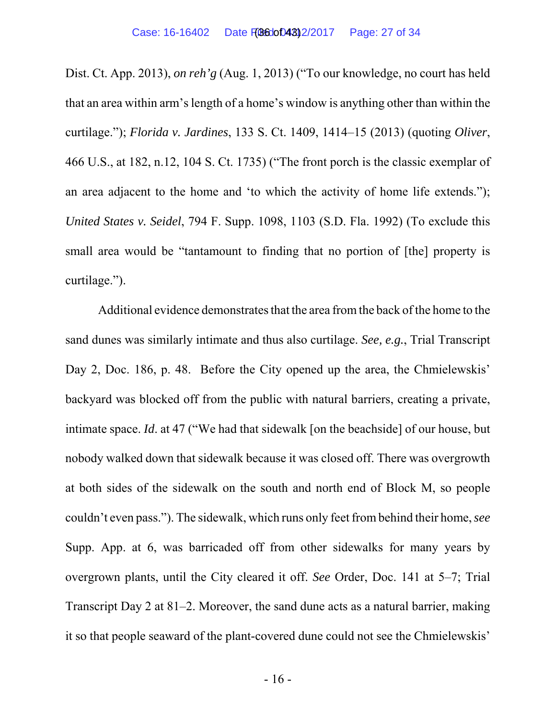Dist. Ct. App. 2013), *on reh'g* (Aug. 1, 2013) ("To our knowledge, no court has held that an area within arm's length of a home's window is anything other than within the curtilage."); *Florida v. Jardines*, 133 S. Ct. 1409, 1414–15 (2013) (quoting *Oliver*, 466 U.S., at 182, n.12, 104 S. Ct. 1735) ("The front porch is the classic exemplar of an area adjacent to the home and 'to which the activity of home life extends."); *United States v. Seidel*, 794 F. Supp. 1098, 1103 (S.D. Fla. 1992) (To exclude this small area would be "tantamount to finding that no portion of [the] property is curtilage.").

Additional evidence demonstrates that the area from the back of the home to the sand dunes was similarly intimate and thus also curtilage. *See, e.g.*, Trial Transcript Day 2, Doc. 186, p. 48. Before the City opened up the area, the Chmielewskis' backyard was blocked off from the public with natural barriers, creating a private, intimate space. *Id*. at 47 ("We had that sidewalk [on the beachside] of our house, but nobody walked down that sidewalk because it was closed off. There was overgrowth at both sides of the sidewalk on the south and north end of Block M, so people couldn't even pass."). The sidewalk, which runs only feet from behind their home, *see* Supp. App. at 6, was barricaded off from other sidewalks for many years by overgrown plants, until the City cleared it off. *See* Order, Doc. 141 at 5–7; Trial Transcript Day 2 at 81–2. Moreover, the sand dune acts as a natural barrier, making it so that people seaward of the plant-covered dune could not see the Chmielewskis'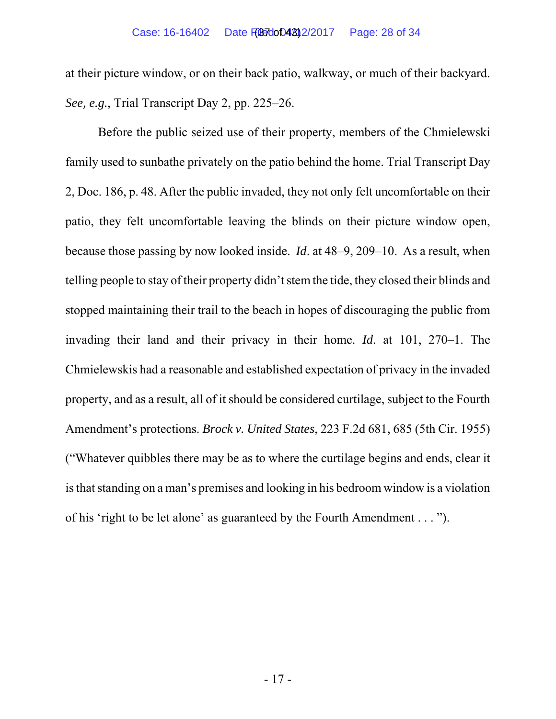at their picture window, or on their back patio, walkway, or much of their backyard. *See, e.g.*, Trial Transcript Day 2, pp. 225–26.

Before the public seized use of their property, members of the Chmielewski family used to sunbathe privately on the patio behind the home. Trial Transcript Day 2, Doc. 186, p. 48. After the public invaded, they not only felt uncomfortable on their patio, they felt uncomfortable leaving the blinds on their picture window open, because those passing by now looked inside. *Id*. at 48–9, 209–10. As a result, when telling people to stay of their property didn't stem the tide, they closed their blinds and stopped maintaining their trail to the beach in hopes of discouraging the public from invading their land and their privacy in their home. *Id*. at 101, 270–1. The Chmielewskis had a reasonable and established expectation of privacy in the invaded property, and as a result, all of it should be considered curtilage, subject to the Fourth Amendment's protections. *Brock v. United States*, 223 F.2d 681, 685 (5th Cir. 1955) ("Whatever quibbles there may be as to where the curtilage begins and ends, clear it is that standing on a man's premises and looking in his bedroom window is a violation of his 'right to be let alone' as guaranteed by the Fourth Amendment . . . ").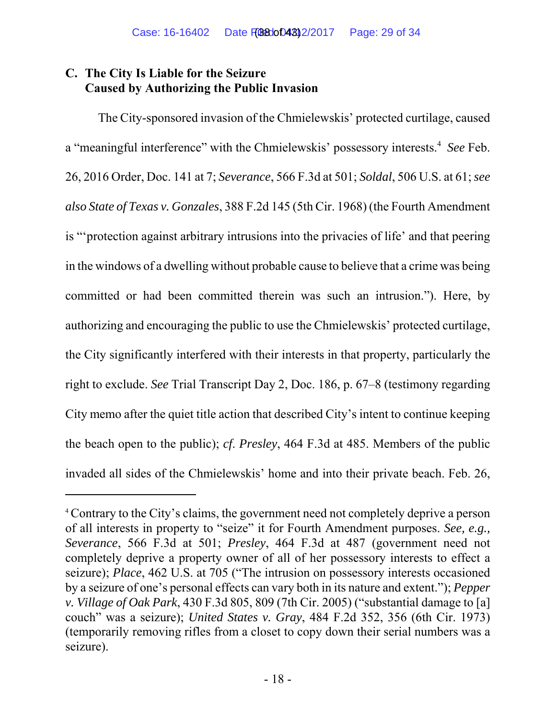# **C. The City Is Liable for the Seizure Caused by Authorizing the Public Invasion**

The City-sponsored invasion of the Chmielewskis' protected curtilage, caused a "meaningful interference" with the Chmielewskis' possessory interests.4 *See* Feb. 26, 2016 Order, Doc. 141 at 7; *Severance*, 566 F.3d at 501; *Soldal*, 506 U.S. at 61; *see also State of Texas v. Gonzales*, 388 F.2d 145 (5th Cir. 1968) (the Fourth Amendment is "'protection against arbitrary intrusions into the privacies of life' and that peering in the windows of a dwelling without probable cause to believe that a crime was being committed or had been committed therein was such an intrusion."). Here, by authorizing and encouraging the public to use the Chmielewskis' protected curtilage, the City significantly interfered with their interests in that property, particularly the right to exclude. *See* Trial Transcript Day 2, Doc. 186, p. 67–8 (testimony regarding City memo after the quiet title action that described City's intent to continue keeping the beach open to the public); *cf*. *Presley*, 464 F.3d at 485. Members of the public invaded all sides of the Chmielewskis' home and into their private beach. Feb. 26,

<sup>&</sup>lt;sup>4</sup> Contrary to the City's claims, the government need not completely deprive a person of all interests in property to "seize" it for Fourth Amendment purposes. *See, e.g., Severance*, 566 F.3d at 501; *Presley*, 464 F.3d at 487 (government need not completely deprive a property owner of all of her possessory interests to effect a seizure); *Place*, 462 U.S. at 705 ("The intrusion on possessory interests occasioned by a seizure of one's personal effects can vary both in its nature and extent."); *Pepper v. Village of Oak Park*, 430 F.3d 805, 809 (7th Cir. 2005) ("substantial damage to [a] couch" was a seizure); *United States v. Gray*, 484 F.2d 352, 356 (6th Cir. 1973) (temporarily removing rifles from a closet to copy down their serial numbers was a seizure).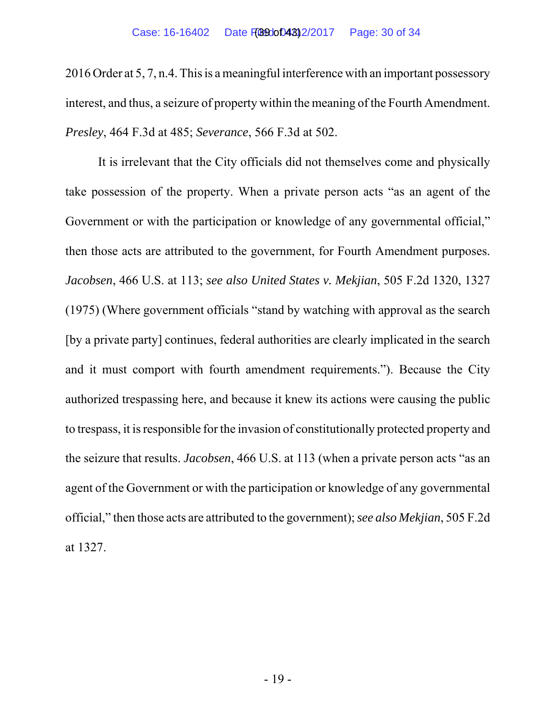2016 Order at 5, 7, n.4. This is a meaningful interference with an important possessory interest, and thus, a seizure of property within the meaning of the Fourth Amendment. *Presley*, 464 F.3d at 485; *Severance*, 566 F.3d at 502.

It is irrelevant that the City officials did not themselves come and physically take possession of the property. When a private person acts "as an agent of the Government or with the participation or knowledge of any governmental official," then those acts are attributed to the government, for Fourth Amendment purposes. *Jacobsen*, 466 U.S. at 113; *see also United States v. Mekjian*, 505 F.2d 1320, 1327 (1975) (Where government officials "stand by watching with approval as the search [by a private party] continues, federal authorities are clearly implicated in the search and it must comport with fourth amendment requirements."). Because the City authorized trespassing here, and because it knew its actions were causing the public to trespass, it is responsible for the invasion of constitutionally protected property and the seizure that results. *Jacobsen*, 466 U.S. at 113 (when a private person acts "as an agent of the Government or with the participation or knowledge of any governmental official," then those acts are attributed to the government); *see also Mekjian*, 505 F.2d at 1327.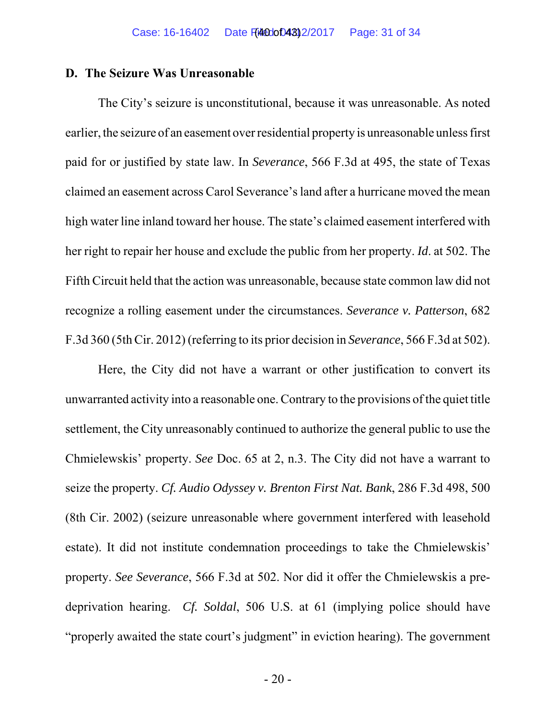#### **D. The Seizure Was Unreasonable**

The City's seizure is unconstitutional, because it was unreasonable. As noted earlier, the seizure of an easement over residential property is unreasonable unless first paid for or justified by state law. In *Severance*, 566 F.3d at 495, the state of Texas claimed an easement across Carol Severance's land after a hurricane moved the mean high water line inland toward her house. The state's claimed easement interfered with her right to repair her house and exclude the public from her property. *Id*. at 502. The Fifth Circuit held that the action was unreasonable, because state common law did not recognize a rolling easement under the circumstances. *Severance v. Patterson*, 682 F.3d 360 (5th Cir. 2012) (referring to its prior decision in *Severance*, 566 F.3d at 502).

Here, the City did not have a warrant or other justification to convert its unwarranted activity into a reasonable one. Contrary to the provisions of the quiet title settlement, the City unreasonably continued to authorize the general public to use the Chmielewskis' property. *See* Doc. 65 at 2, n.3. The City did not have a warrant to seize the property. *Cf. Audio Odyssey v. Brenton First Nat. Bank*, 286 F.3d 498, 500 (8th Cir. 2002) (seizure unreasonable where government interfered with leasehold estate). It did not institute condemnation proceedings to take the Chmielewskis' property. *See Severance*, 566 F.3d at 502. Nor did it offer the Chmielewskis a predeprivation hearing. *Cf. Soldal*, 506 U.S. at 61 (implying police should have "properly awaited the state court's judgment" in eviction hearing). The government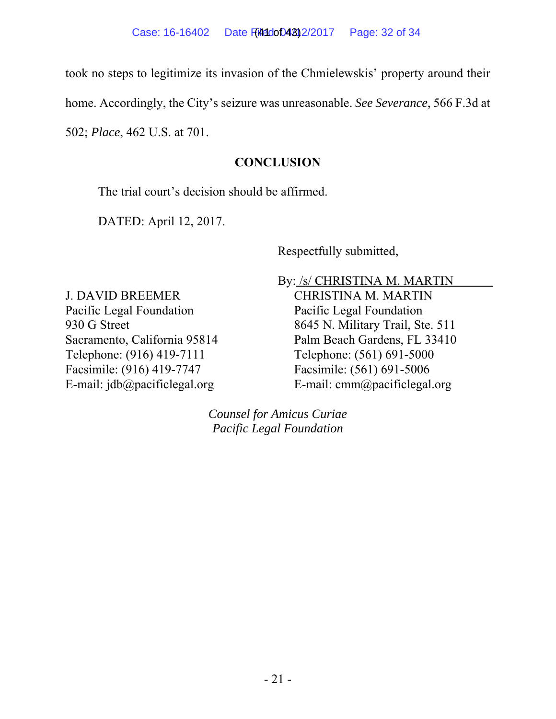took no steps to legitimize its invasion of the Chmielewskis' property around their

home. Accordingly, the City's seizure was unreasonable. *See Severance*, 566 F.3d at

502; *Place*, 462 U.S. at 701.

## **CONCLUSION**

The trial court's decision should be affirmed.

DATED: April 12, 2017.

Respectfully submitted,

J. DAVID BREEMER Pacific Legal Foundation 930 G Street Sacramento, California 95814 Telephone: (916) 419-7111 Facsimile: (916) 419-7747 E-mail: jdb@pacificlegal.org

By: /s/ CHRISTINA M. MARTIN CHRISTINA M. MARTIN

Pacific Legal Foundation 8645 N. Military Trail, Ste. 511 Palm Beach Gardens, FL 33410 Telephone: (561) 691-5000 Facsimile: (561) 691-5006 E-mail: cmm@pacificlegal.org

*Counsel for Amicus Curiae Pacific Legal Foundation*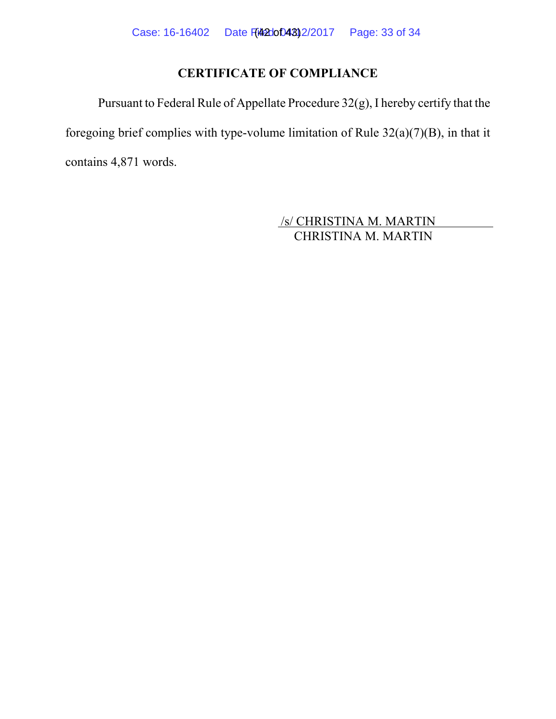# **CERTIFICATE OF COMPLIANCE**

Pursuant to Federal Rule of Appellate Procedure 32(g), I hereby certify that the foregoing brief complies with type-volume limitation of Rule 32(a)(7)(B), in that it contains 4,871 words.

> /s/ CHRISTINA M. MARTIN CHRISTINA M. MARTIN